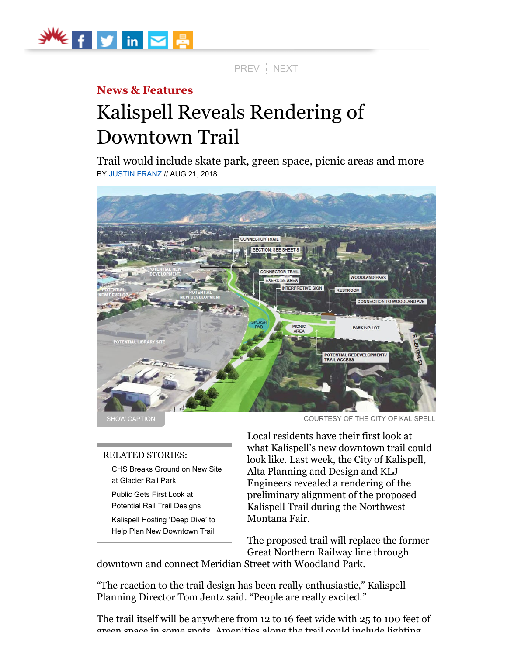

## [PREV](https://flatheadbeacon.com/2018/08/21/montana-supreme-court-upholds-green-partys-ballot-removal/) [NEXT](https://flatheadbeacon.com/2018/08/21/blackfeet-nation-sues-opioid-manufacturers/)

## **[News & Features](https://flatheadbeacon.com/section/news-features/)**

## Kalispell Reveals Rendering of Downtown Trail

Trail would include skate park, green space, picnic areas and more BY [JUSTIN FRANZ](https://flatheadbeacon.com/author/justinfranz/) // AUG 21, 2018



**HOW CAPTIO** 

## RELATED STORIES:

[CHS Breaks Ground on New Site](https://flatheadbeacon.com/2018/06/23/chs-breaks-ground-new-site-glacier-rail-park/) at Glacier Rail Park

Public Gets First Look at [Potential Rail Trail Designs](https://flatheadbeacon.com/2018/06/11/public-gets-first-look-potential-rail-trail-designs/)

[Kalispell Hosting 'Deep Dive' to](https://flatheadbeacon.com/2018/05/28/kalispell-hosting-deep-dive-help-plan-new-downtown-trail/) Help Plan New Downtown Trail

COURTESY OF THE CITY OF KALISPELL

Local residents have their first look at what Kalispell's new downtown trail could look like. Last week, the City of Kalispell, Alta Planning and Design and KLJ Engineers revealed a rendering of the preliminary alignment of the proposed Kalispell Trail during the Northwest Montana Fair.

The proposed trail will replace the former Great Northern Railway line through

downtown and connect Meridian Street with Woodland Park.

"The reaction to the trail design has been really enthusiastic," Kalispell Planning Director Tom Jentz said. "People are really excited."

The trail itself will be anywhere from 12 to 16 feet wide with 25 to 100 feet of green space in some spots Amenities along the trail could include lighting